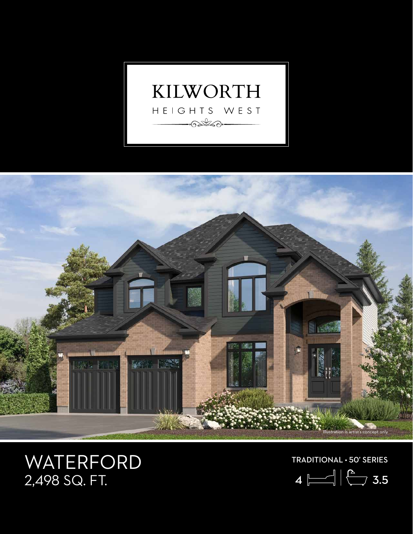



## WATERFORD<br>2,498 SQ. FT.

TRADITIONAL • 50' SERIES

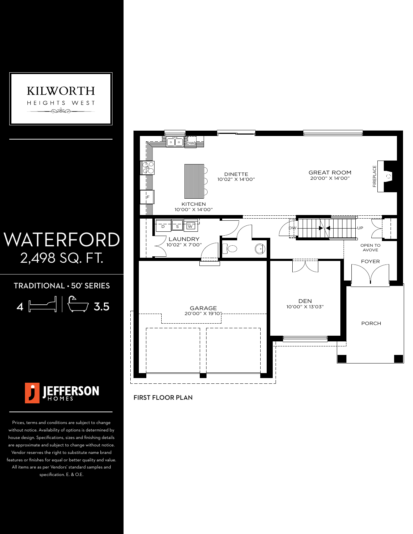

## WATERFORD 2,498 SQ. FT.

TRADITIONAL • 50' SERIES

 $4 \leftarrow$   $\left| \begin{matrix} 6 \\ 3.5 \end{matrix} \right|$ 



Prices, terms and conditions are subject to change without notice. Availability of options is determined by house design. Specifications, sizes and finishing details are approximate and subject to change without notice. Vendor reserves the right to substitute name brand features or finishes for equal or better quality and value. All items are as per Vendors' standard samples and specification. E. & O.E.



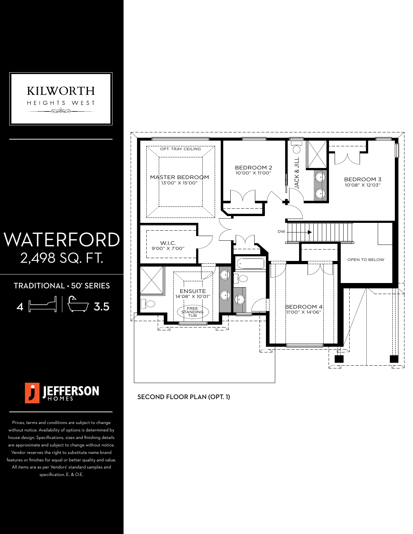

## WATERFORD 2,498 SQ. FT.

TRADITIONAL • 50' SERIES

| 4 | ▎ | ⋙ | × |
|---|---|---|---|
|---|---|---|---|



Prices, terms and conditions are subject to change without notice. Availability of options is determined by house design. Specifications, sizes and finishing details are approximate and subject to change without notice. Vendor reserves the right to substitute name brand features or finishes for equal or better quality and value. All items are as per Vendors' standard samples and specification. E. & O.E.



SECOND FLOOR PLAN (OPT. 1)